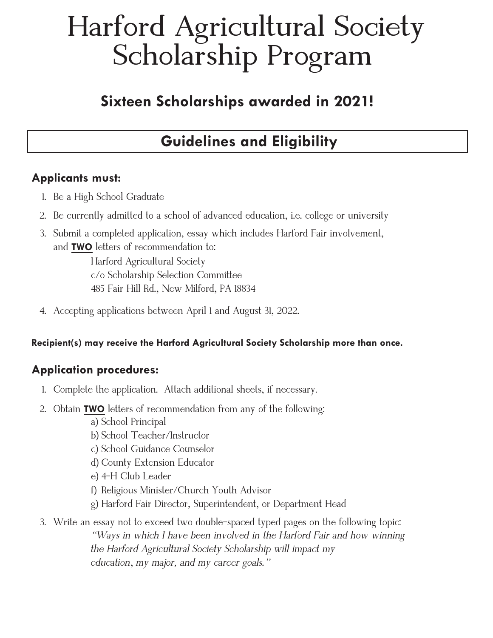# **Harford Agricultural Society Scholarship Program**

## **Sixteen Scholarships awarded in 2021!**

## **Guidelines and Eligibility**

### **Applicants must:**

- 1. Be a High School Graduate
- 2. Be currently admitted to a school of advanced education, i.e. college or university
- 3. Submit a completed application, essay which includes Harford Fair involvement, and **TWO** letters of recommendation to:

Harford Agricultural Society c/o Scholarship Selection Committee 485 Fair Hill Rd., New Milford, PA 18834

4. Accepting applications between April 1 and August 31, 2022.

**Recipient(s) may receive the Harford Agricultural Society Scholarship more than once.**

## **Application procedures:**

- 1. Complete the application. Attach additional sheets, if necessary.
- 2. Obtain **TWO** letters of recommendation from any of the following:
	- a) School Principal
	- b) School Teacher/Instructor
	- c) School Guidance Counselor
	- d) County Extension Educator
	- e) 4-H Club Leader
	- f) Religious Minister/Church Youth Advisor
	- g) Harford Fair Director, Superintendent, or Department Head
- 3. Write an essay not to exceed two double-spaced typed pages on the following topic: *"Ways in which I have been involved in the Harford Fair and how winning the Harford Agricultural Society Scholarship will impact my education*, *my major, and my career goals."*